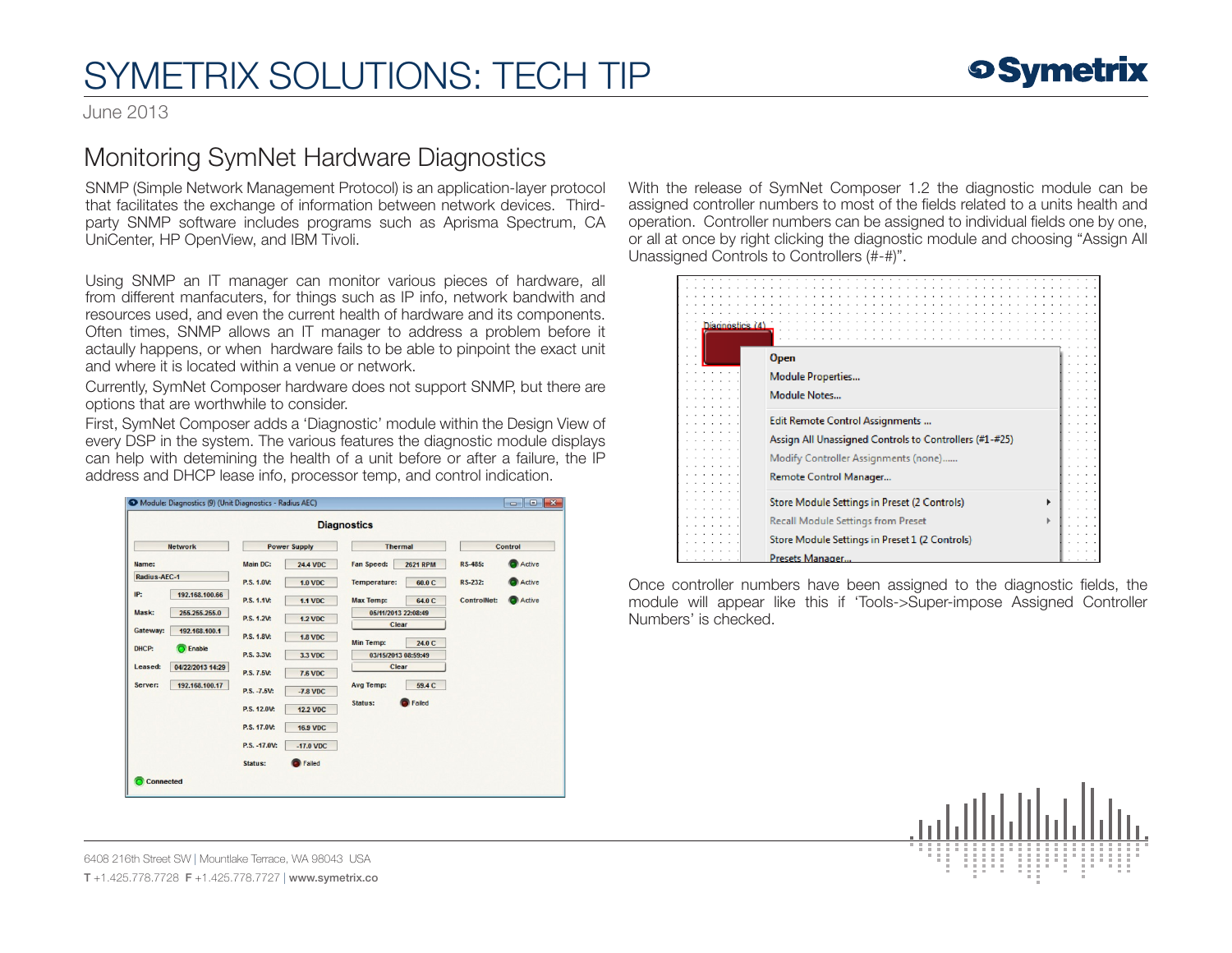## SYMETRIX SOLUTIONS: TECH TIP

June 2013

## Monitoring SymNet Hardware Diagnostics

SNMP (Simple Network Management Protocol) is an application-layer protocol that facilitates the exchange of information between network devices. Thirdparty SNMP software includes programs such as Aprisma Spectrum, CA UniCenter, HP OpenView, and IBM Tivoli.

Using SNMP an IT manager can monitor various pieces of hardware, all from different manfacuters, for things such as IP info, network bandwith and resources used, and even the current health of hardware and its components. Often times, SNMP allows an IT manager to address a problem before it actaully happens, or when hardware fails to be able to pinpoint the exact unit and where it is located within a venue or network.

Currently, SymNet Composer hardware does not support SNMP, but there are options that are worthwhile to consider.

First, SymNet Composer adds a 'Diagnostic' module within the Design View of every DSP in the system. The various features the diagnostic module displays can help with detemining the health of a unit before or after a failure, the IP address and DHCP lease info, processor temp, and control indication.

|                             |                     |                 | <b>Diagnostics</b>           |                 |                    |        |
|-----------------------------|---------------------|-----------------|------------------------------|-----------------|--------------------|--------|
| <b>Network</b>              | <b>Power Supply</b> |                 | <b>Thermal</b>               |                 | Control            |        |
| Name:                       | <b>Main DC:</b>     | <b>24.4 VDC</b> | <b>Fan Speed:</b>            | <b>2621 RPM</b> | <b>RS-485:</b>     | Active |
| Radius-AEC-1                | P.S. 1.0V:          | <b>1.0 VDC</b>  | <b>Temperature:</b>          | 60.0 C          | <b>RS-232:</b>     | Active |
| IP:<br>192.168.100.66       | P.S. 1.1V:          | <b>1.1 VDC</b>  | <b>Max Temp:</b>             | 64.0 C          | <b>ControlNet:</b> | Active |
| Mask:<br>255.255.255.0      | P.S. 1.2V:          | <b>1.2 VDC</b>  | 05/11/2013 22:08:49<br>Clear |                 |                    |        |
| Gateway:<br>192.168.100.1   | P.S. 1.8V:          | <b>1.8 VDC</b>  | <b>Min Temp:</b>             | 24.0 C          |                    |        |
| C Enable<br>DHCP:           | P.S. 3.3V:          | 3.3 VDC         | 03/15/2013 08:59:49          |                 |                    |        |
| Leased:<br>04/22/2013 14:29 | P.S. 7.5V:          | <b>7.6 VDC</b>  | Clear                        |                 |                    |        |
| Server:<br>192.168.100.17   | P.S. -7.5V:         | $-7.8$ VDC      | <b>Avg Temp:</b>             | 59.4 C          |                    |        |
|                             | P.S. 12.0V:         | <b>12.2 VDC</b> | Status:                      | Failed          |                    |        |
|                             | P.S. 17.0V:         | <b>16.9 VDC</b> |                              |                 |                    |        |
|                             | P.S. - 17.0V:       | $-17.0$ VDC     |                              |                 |                    |        |
|                             | <b>Status:</b>      | Failed          |                              |                 |                    |        |

With the release of SymNet Composer 1.2 the diagnostic module can be assigned controller numbers to most of the fields related to a units health and operation. Controller numbers can be assigned to individual fields one by one, or all at once by right clicking the diagnostic module and choosing "Assign All Unassigned Controls to Controllers (#-#)".

| Diagnostics (4) |                                                        |  |  |  |  |
|-----------------|--------------------------------------------------------|--|--|--|--|
|                 |                                                        |  |  |  |  |
| . .             |                                                        |  |  |  |  |
| . .             |                                                        |  |  |  |  |
|                 | <b>Open</b>                                            |  |  |  |  |
|                 | <b>Module Properties</b>                               |  |  |  |  |
|                 |                                                        |  |  |  |  |
|                 | Module Notes                                           |  |  |  |  |
|                 |                                                        |  |  |  |  |
|                 |                                                        |  |  |  |  |
|                 | Edit Remote Control Assignments                        |  |  |  |  |
|                 | Assign All Unassigned Controls to Controllers (#1-#25) |  |  |  |  |
|                 |                                                        |  |  |  |  |
|                 | Modify Controller Assignments (none)                   |  |  |  |  |
|                 |                                                        |  |  |  |  |
|                 | Remote Control Manager                                 |  |  |  |  |
|                 |                                                        |  |  |  |  |
|                 | Store Module Settings in Preset (2 Controls)           |  |  |  |  |
|                 |                                                        |  |  |  |  |
|                 | <b>Recall Module Settings from Preset</b>              |  |  |  |  |
|                 |                                                        |  |  |  |  |
|                 | Store Module Settings in Preset 1 (2 Controls)         |  |  |  |  |
|                 | Presets Manager                                        |  |  |  |  |

Once controller numbers have been assigned to the diagnostic fields, the module will appear like this if 'Tools->Super-impose Assigned Controller Numbers' is checked.



6408 216th Street SW | Mountlake Terrace, WA 98043 USA T +1.425.778.7728 F +1.425.778.7727 | www.symetrix.co